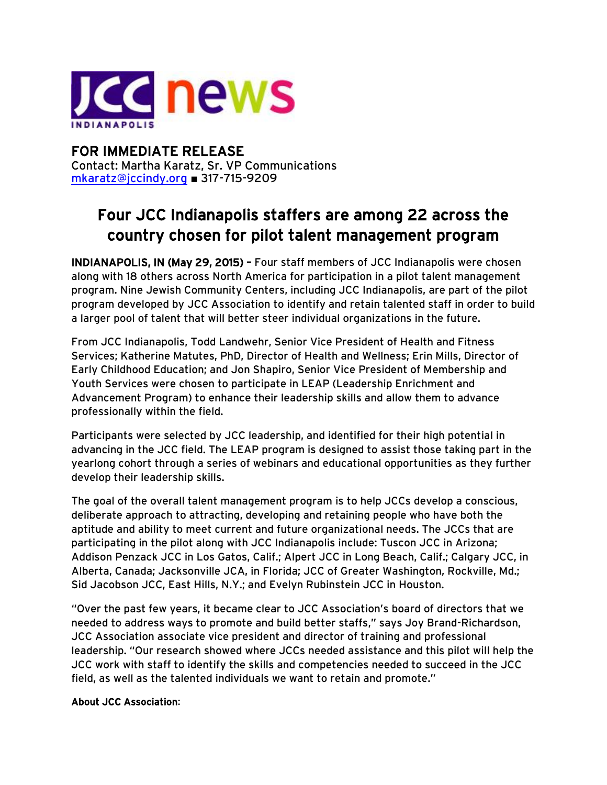

## FOR IMMEDIATE RELEASE

Contact: Martha Karatz, Sr. VP Communications [mkaratz@jccindy.org](mailto:mkaratz@jccindy.org) ■ 317-715-9209

## Four JCC Indianapolis staffers are among 22 across the country chosen for pilot talent management program

INDIANAPOLIS, IN (May 29, 2015) – Four staff members of JCC Indianapolis were chosen along with 18 others across North America for participation in a pilot talent management program. Nine Jewish Community Centers, including JCC Indianapolis, are part of the pilot program developed by JCC Association to identify and retain talented staff in order to build a larger pool of talent that will better steer individual organizations in the future.

From JCC Indianapolis, Todd Landwehr, Senior Vice President of Health and Fitness Services; Katherine Matutes, PhD, Director of Health and Wellness; Erin Mills, Director of Early Childhood Education; and Jon Shapiro, Senior Vice President of Membership and Youth Services were chosen to participate in LEAP (Leadership Enrichment and Advancement Program) to enhance their leadership skills and allow them to advance professionally within the field.

Participants were selected by JCC leadership, and identified for their high potential in advancing in the JCC field. The LEAP program is designed to assist those taking part in the yearlong cohort through a series of webinars and educational opportunities as they further develop their leadership skills.

The goal of the overall talent management program is to help JCCs develop a conscious, deliberate approach to attracting, developing and retaining people who have both the aptitude and ability to meet current and future organizational needs. The JCCs that are participating in the pilot along with JCC Indianapolis include: Tuscon JCC in Arizona; Addison Penzack JCC in Los Gatos, Calif.; Alpert JCC in Long Beach, Calif.; Calgary JCC, in Alberta, Canada; Jacksonville JCA, in Florida; JCC of Greater Washington, Rockville, Md.; Sid Jacobson JCC, East Hills, N.Y.; and Evelyn Rubinstein JCC in Houston.

"Over the past few years, it became clear to JCC Association's board of directors that we needed to address ways to promote and build better staffs," says Joy Brand-Richardson, JCC Association associate vice president and director of training and professional leadership. "Our research showed where JCCs needed assistance and this pilot will help the JCC work with staff to identify the skills and competencies needed to succeed in the JCC field, as well as the talented individuals we want to retain and promote."

## About JCC Association: